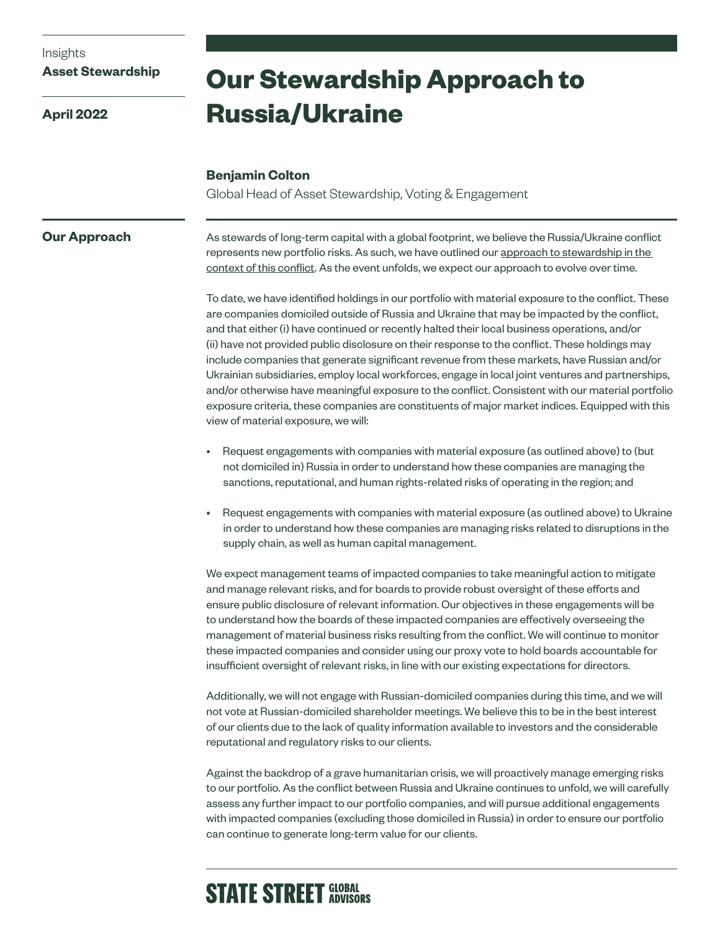### Insights

### **Asset Stewardship**

**April 2022**

# **Our Stewardship Approach to Russia/Ukraine**

### **Benjamin Colton**

Global Head of Asset Stewardship, Voting & Engagement

### **Our Approach**

As stewards of long-term capital with a global footprint, we believe the Russia/Ukraine conflict represents new portfolio risks. As such, we have outlined our approach to stewardship in the [context of this conflict.](https://www.ssga.com/library-content/pdfs/global/framework-for-stewardship-in-context-of-geopolitical-risk.pdf) As the event unfolds, we expect our approach to evolve over time.

To date, we have identified holdings in our portfolio with material exposure to the conflict. These are companies domiciled outside of Russia and Ukraine that may be impacted by the conflict, and that either (i) have continued or recently halted their local business operations, and/or (ii) have not provided public disclosure on their response to the conflict. These holdings may include companies that generate significant revenue from these markets, have Russian and/or Ukrainian subsidiaries, employ local workforces, engage in local joint ventures and partnerships, and/or otherwise have meaningful exposure to the conflict. Consistent with our material portfolio exposure criteria, these companies are constituents of major market indices. Equipped with this view of material exposure, we will:

- Request engagements with companies with material exposure (as outlined above) to (but not domiciled in) Russia in order to understand how these companies are managing the sanctions, reputational, and human rights-related risks of operating in the region; and
- Request engagements with companies with material exposure (as outlined above) to Ukraine in order to understand how these companies are managing risks related to disruptions in the supply chain, as well as human capital management.

We expect management teams of impacted companies to take meaningful action to mitigate and manage relevant risks, and for boards to provide robust oversight of these efforts and ensure public disclosure of relevant information. Our objectives in these engagements will be to understand how the boards of these impacted companies are effectively overseeing the management of material business risks resulting from the conflict. We will continue to monitor these impacted companies and consider using our proxy vote to hold boards accountable for insufficient oversight of relevant risks, in line with our existing expectations for directors.

Additionally, we will not engage with Russian-domiciled companies during this time, and we will not vote at Russian-domiciled shareholder meetings. We believe this to be in the best interest of our clients due to the lack of quality information available to investors and the considerable reputational and regulatory risks to our clients.

Against the backdrop of a grave humanitarian crisis, we will proactively manage emerging risks to our portfolio. As the conflict between Russia and Ukraine continues to unfold, we will carefully assess any further impact to our portfolio companies, and will pursue additional engagements with impacted companies (excluding those domiciled in Russia) in order to ensure our portfolio can continue to generate long-term value for our clients.

## **STATE STREET GLOBAL**